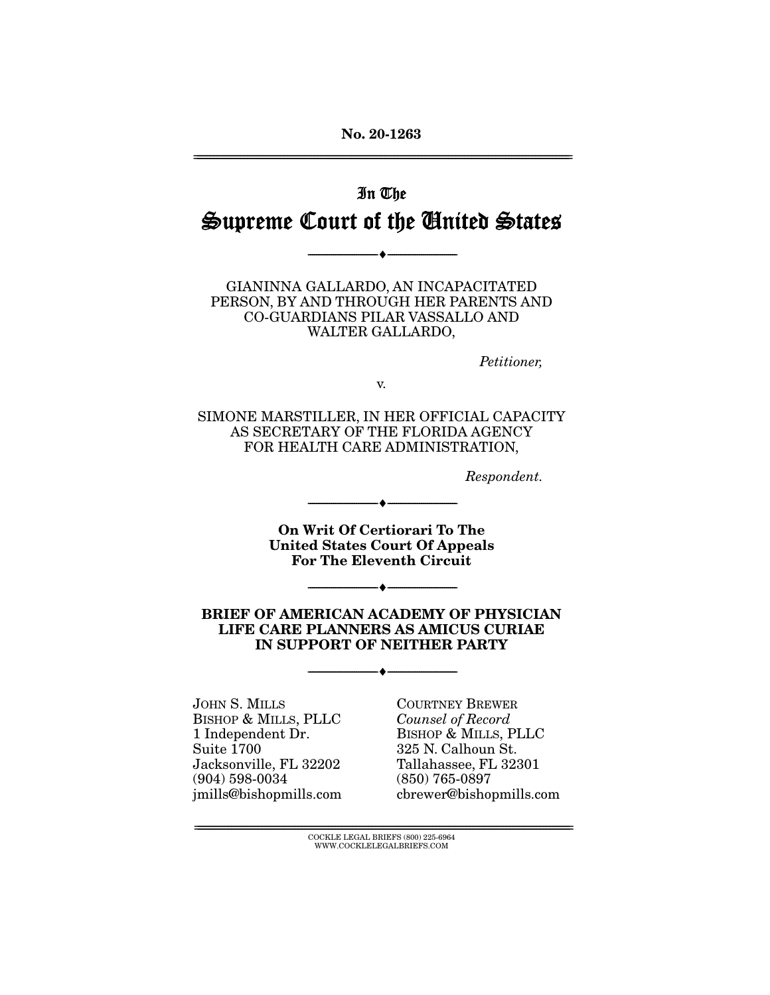**No. 20-1263**  ================================================================================================================

# In The Supreme Court of the United States

--------------------------------- ♦ ---------------------------------

GIANINNA GALLARDO, AN INCAPACITATED PERSON, BY AND THROUGH HER PARENTS AND CO-GUARDIANS PILAR VASSALLO AND WALTER GALLARDO,

Petitioner,

v.

SIMONE MARSTILLER, IN HER OFFICIAL CAPACITY AS SECRETARY OF THE FLORIDA AGENCY FOR HEALTH CARE ADMINISTRATION,

Respondent.

**On Writ Of Certiorari To The United States Court Of Appeals For The Eleventh Circuit** 

--------------------------------- ♦ ---------------------------------

--------------------------------- ♦ ---------------------------------

**BRIEF OF AMERICAN ACADEMY OF PHYSICIAN LIFE CARE PLANNERS AS AMICUS CURIAE IN SUPPORT OF NEITHER PARTY** 

--------------------------------- ♦ ---------------------------------

JOHN S. MILLS BISHOP & MILLS, PLLC 1 Independent Dr. Suite 1700 Jacksonville, FL 32202 (904) 598-0034 jmills@bishopmills.com COURTNEY BREWER Counsel of Record BISHOP & MILLS, PLLC 325 N. Calhoun St. Tallahassee, FL 32301 (850) 765-0897 cbrewer@bishopmills.com

================================================================================================================ COCKLE LEGAL BRIEFS (800) 225-6964 WWW.COCKLELEGALBRIEFS.COM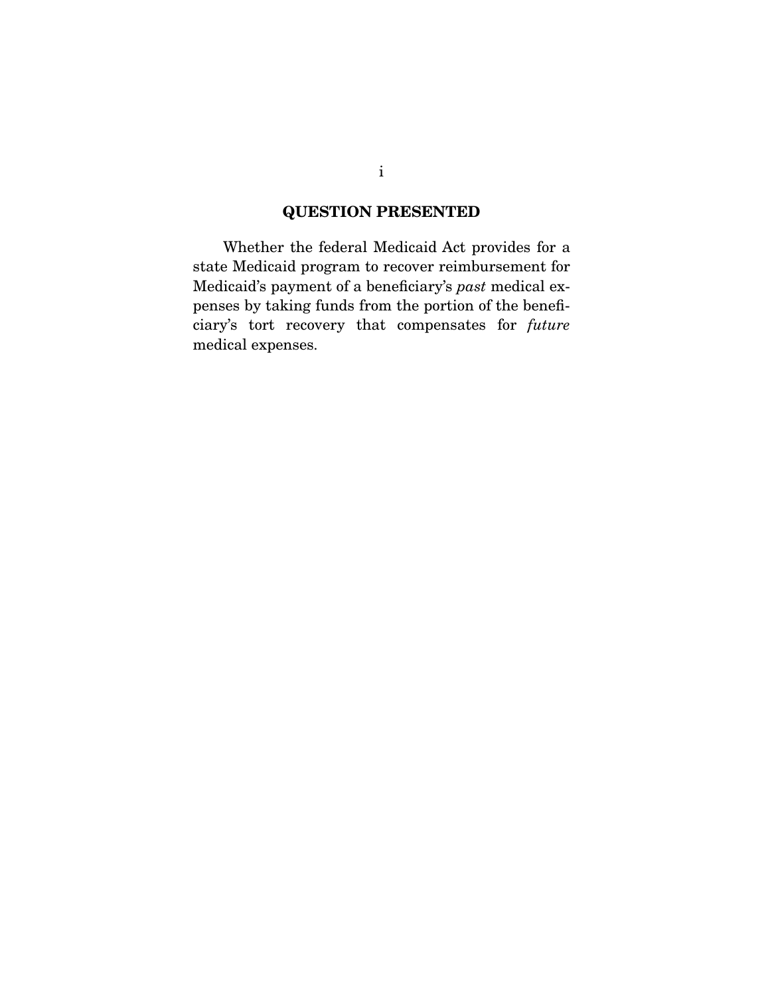## **QUESTION PRESENTED**

 Whether the federal Medicaid Act provides for a state Medicaid program to recover reimbursement for Medicaid's payment of a beneficiary's past medical expenses by taking funds from the portion of the beneficiary's tort recovery that compensates for future medical expenses.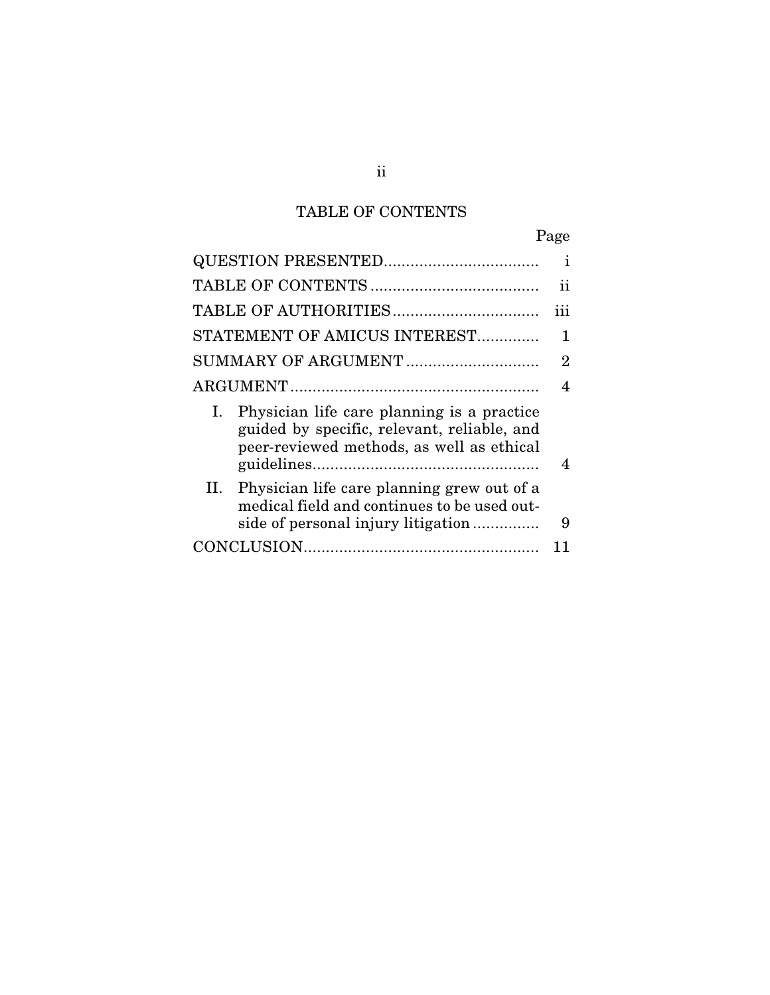## TABLE OF CONTENTS

|                                                                                                                                              | Page           |
|----------------------------------------------------------------------------------------------------------------------------------------------|----------------|
|                                                                                                                                              | i              |
|                                                                                                                                              | ii             |
|                                                                                                                                              | iii            |
| STATEMENT OF AMICUS INTEREST                                                                                                                 | 1              |
| SUMMARY OF ARGUMENT                                                                                                                          | $\overline{2}$ |
|                                                                                                                                              | 4              |
| Physician life care planning is a practice<br>Ι.<br>guided by specific, relevant, reliable, and<br>peer-reviewed methods, as well as ethical | 4              |
| II. Physician life care planning grew out of a<br>medical field and continues to be used out-<br>side of personal injury litigation          | 9              |
|                                                                                                                                              |                |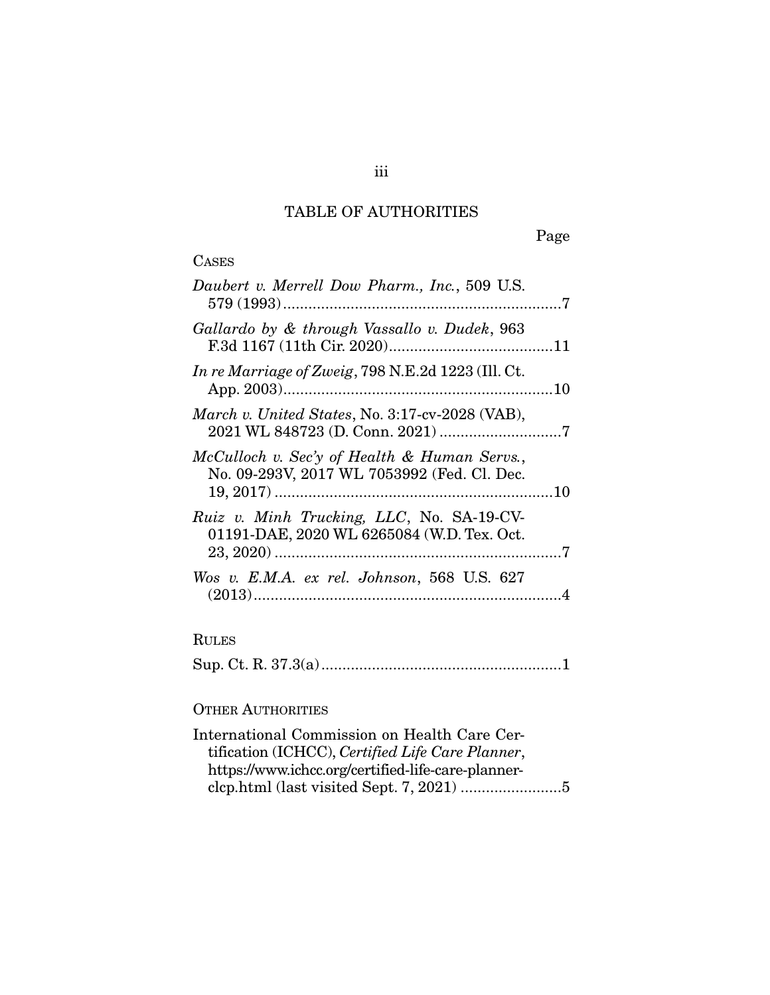## TABLE OF AUTHORITIES

Page

| <b>CASES</b>                                                                                                                                           |
|--------------------------------------------------------------------------------------------------------------------------------------------------------|
| Daubert v. Merrell Dow Pharm., Inc., 509 U.S.                                                                                                          |
| Gallardo by & through Vassallo v. Dudek, 963                                                                                                           |
| In re Marriage of Zweig, 798 N.E.2d 1223 (Ill. Ct.                                                                                                     |
| March v. United States, No. 3:17-cv-2028 (VAB),                                                                                                        |
| McCulloch v. Sec'y of Health & Human Servs.,<br>No. 09-293V, 2017 WL 7053992 (Fed. Cl. Dec.                                                            |
| Ruiz v. Minh Trucking, LLC, No. SA-19-CV-<br>01191-DAE, 2020 WL 6265084 (W.D. Tex. Oct.                                                                |
| Wos v. E.M.A. ex rel. Johnson, 568 U.S. 627                                                                                                            |
| <b>RULES</b>                                                                                                                                           |
|                                                                                                                                                        |
| <b>OTHER AUTHORITIES</b>                                                                                                                               |
| International Commission on Health Care Cer-<br>tification (ICHCC), Certified Life Care Planner,<br>https://www.ichcc.org/certified-life-care-planner- |

clcp.html (last visited Sept. 7, 2021) ........................ 5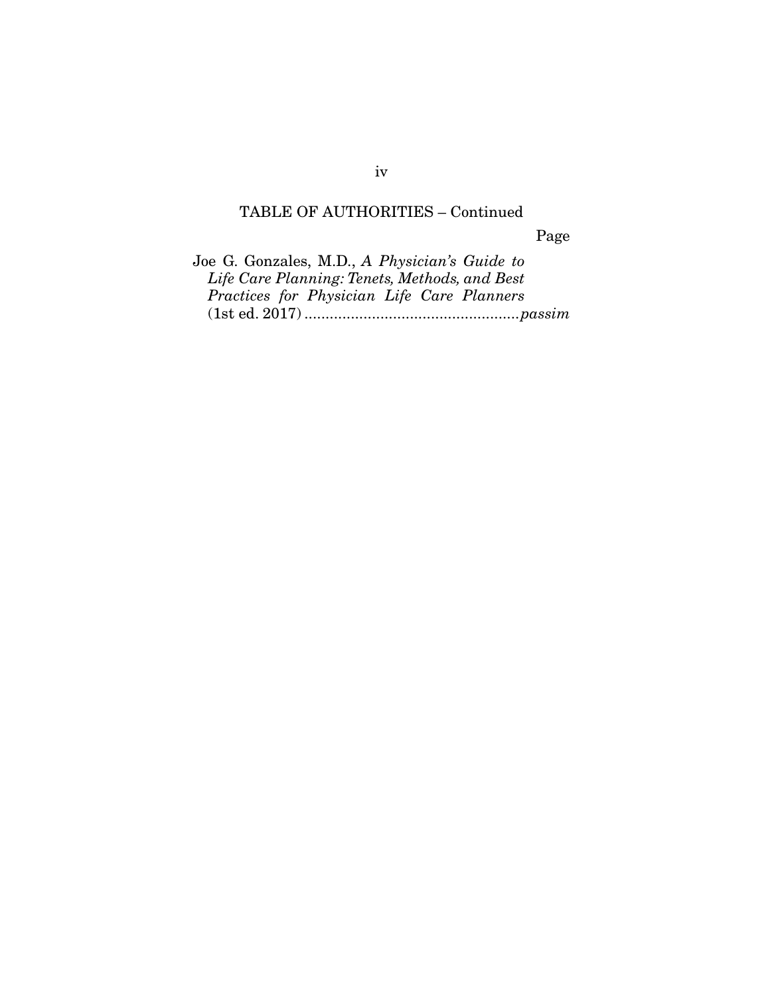## TABLE OF AUTHORITIES – Continued

Page

Joe G. Gonzales, M.D., A Physician's Guide to Life Care Planning: Tenets, Methods, and Best Practices for Physician Life Care Planners (1st ed. 2017) ................................................... passim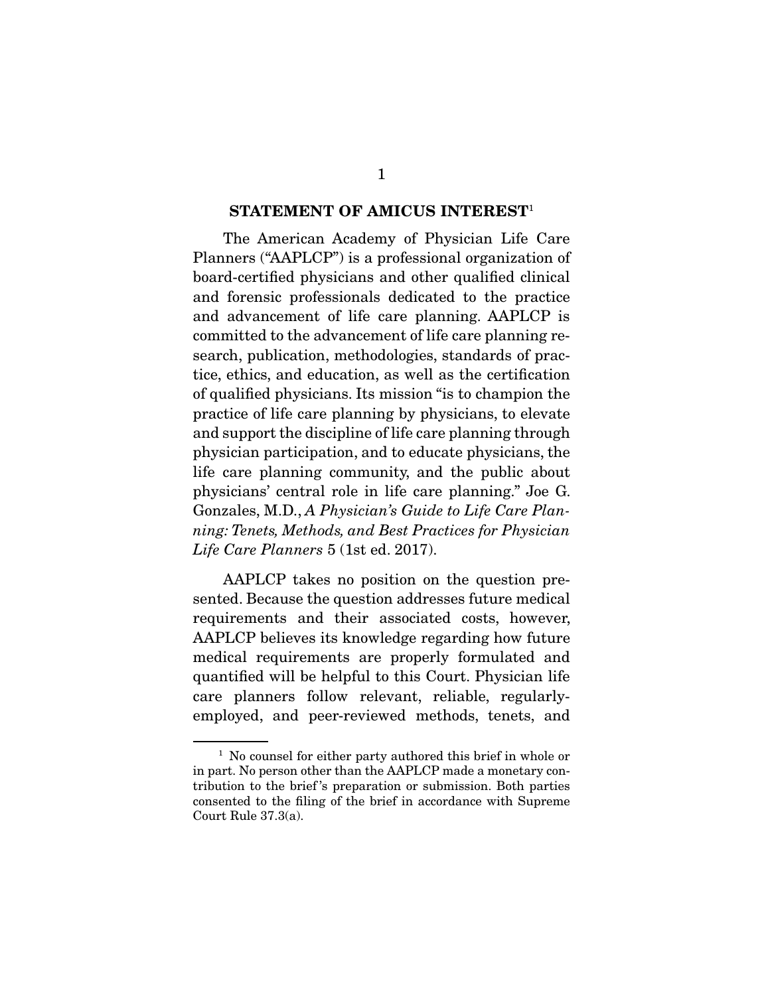#### **STATEMENT OF AMICUS INTEREST**<sup>1</sup>

 The American Academy of Physician Life Care Planners ("AAPLCP") is a professional organization of board-certified physicians and other qualified clinical and forensic professionals dedicated to the practice and advancement of life care planning. AAPLCP is committed to the advancement of life care planning research, publication, methodologies, standards of practice, ethics, and education, as well as the certification of qualified physicians. Its mission "is to champion the practice of life care planning by physicians, to elevate and support the discipline of life care planning through physician participation, and to educate physicians, the life care planning community, and the public about physicians' central role in life care planning." Joe G. Gonzales, M.D., A Physician's Guide to Life Care Planning: Tenets, Methods, and Best Practices for Physician Life Care Planners 5 (1st ed. 2017).

 AAPLCP takes no position on the question presented. Because the question addresses future medical requirements and their associated costs, however, AAPLCP believes its knowledge regarding how future medical requirements are properly formulated and quantified will be helpful to this Court. Physician life care planners follow relevant, reliable, regularlyemployed, and peer-reviewed methods, tenets, and

<sup>&</sup>lt;sup>1</sup> No counsel for either party authored this brief in whole or in part. No person other than the AAPLCP made a monetary contribution to the brief 's preparation or submission. Both parties consented to the filing of the brief in accordance with Supreme Court Rule 37.3(a).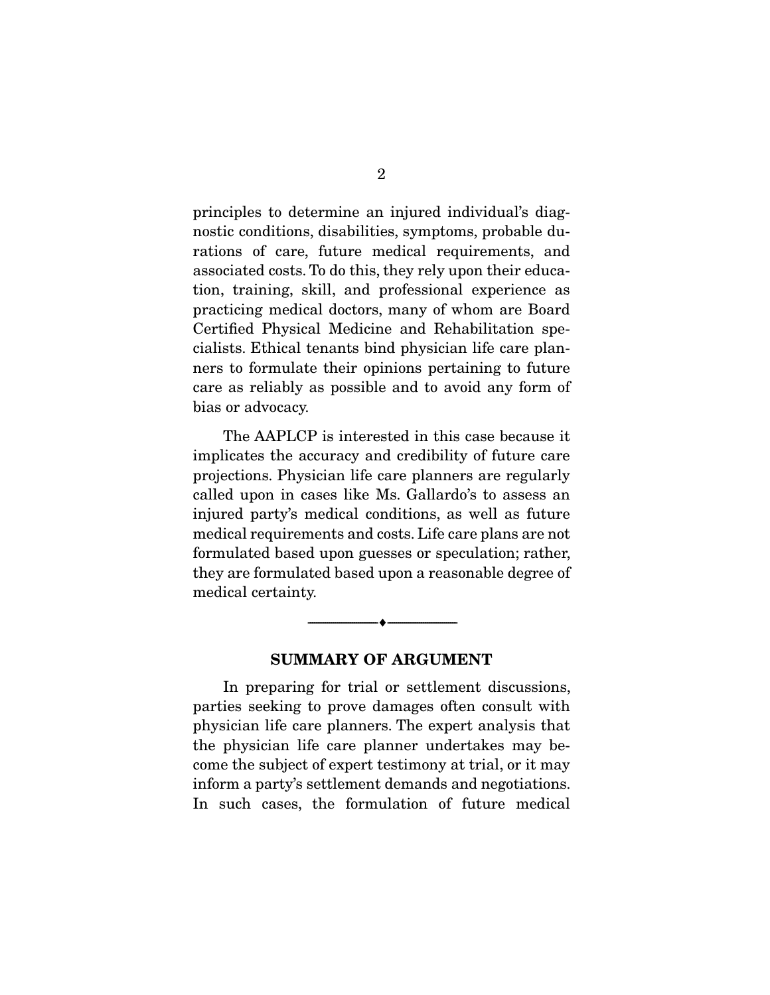principles to determine an injured individual's diagnostic conditions, disabilities, symptoms, probable durations of care, future medical requirements, and associated costs. To do this, they rely upon their education, training, skill, and professional experience as practicing medical doctors, many of whom are Board Certified Physical Medicine and Rehabilitation specialists. Ethical tenants bind physician life care planners to formulate their opinions pertaining to future care as reliably as possible and to avoid any form of bias or advocacy.

 The AAPLCP is interested in this case because it implicates the accuracy and credibility of future care projections. Physician life care planners are regularly called upon in cases like Ms. Gallardo's to assess an injured party's medical conditions, as well as future medical requirements and costs. Life care plans are not formulated based upon guesses or speculation; rather, they are formulated based upon a reasonable degree of medical certainty.

#### **SUMMARY OF ARGUMENT**

--------------------------------- ♦ ---------------------------------

 In preparing for trial or settlement discussions, parties seeking to prove damages often consult with physician life care planners. The expert analysis that the physician life care planner undertakes may become the subject of expert testimony at trial, or it may inform a party's settlement demands and negotiations. In such cases, the formulation of future medical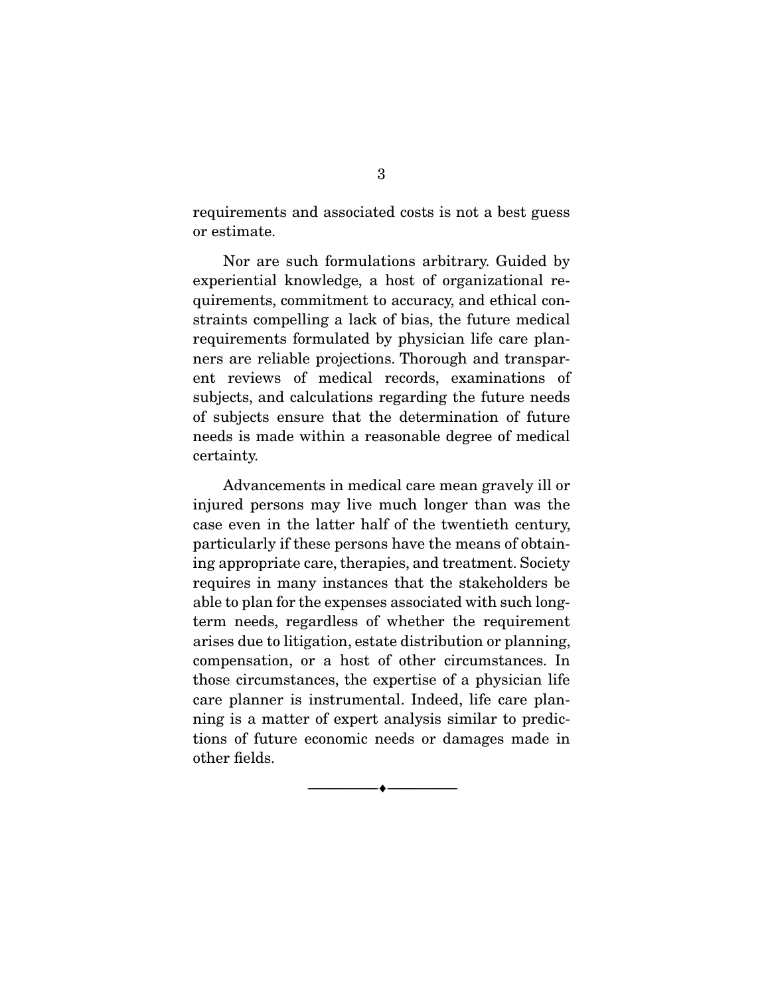requirements and associated costs is not a best guess or estimate.

 Nor are such formulations arbitrary. Guided by experiential knowledge, a host of organizational requirements, commitment to accuracy, and ethical constraints compelling a lack of bias, the future medical requirements formulated by physician life care planners are reliable projections. Thorough and transparent reviews of medical records, examinations of subjects, and calculations regarding the future needs of subjects ensure that the determination of future needs is made within a reasonable degree of medical certainty.

 Advancements in medical care mean gravely ill or injured persons may live much longer than was the case even in the latter half of the twentieth century, particularly if these persons have the means of obtaining appropriate care, therapies, and treatment. Society requires in many instances that the stakeholders be able to plan for the expenses associated with such longterm needs, regardless of whether the requirement arises due to litigation, estate distribution or planning, compensation, or a host of other circumstances. In those circumstances, the expertise of a physician life care planner is instrumental. Indeed, life care planning is a matter of expert analysis similar to predictions of future economic needs or damages made in other fields.

--------------------------------- ♦ ---------------------------------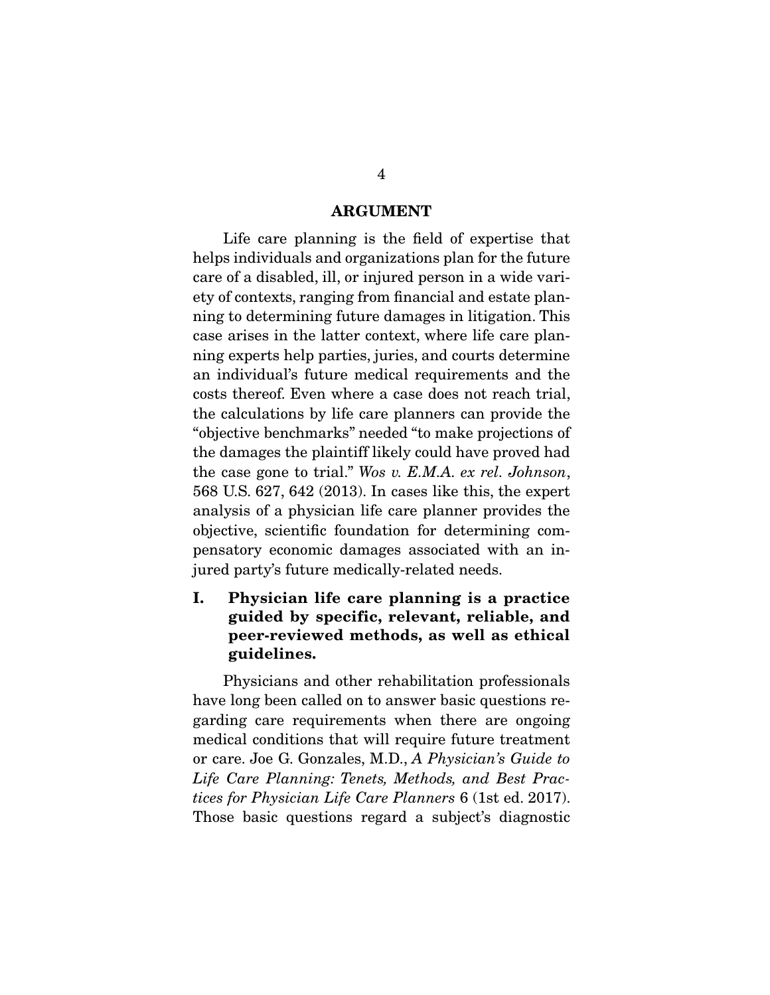#### **ARGUMENT**

 Life care planning is the field of expertise that helps individuals and organizations plan for the future care of a disabled, ill, or injured person in a wide variety of contexts, ranging from financial and estate planning to determining future damages in litigation. This case arises in the latter context, where life care planning experts help parties, juries, and courts determine an individual's future medical requirements and the costs thereof. Even where a case does not reach trial, the calculations by life care planners can provide the "objective benchmarks" needed "to make projections of the damages the plaintiff likely could have proved had the case gone to trial." Wos v. E.M.A. ex rel. Johnson, 568 U.S. 627, 642 (2013). In cases like this, the expert analysis of a physician life care planner provides the objective, scientific foundation for determining compensatory economic damages associated with an injured party's future medically-related needs.

### **I. Physician life care planning is a practice guided by specific, relevant, reliable, and peer-reviewed methods, as well as ethical guidelines.**

 Physicians and other rehabilitation professionals have long been called on to answer basic questions regarding care requirements when there are ongoing medical conditions that will require future treatment or care. Joe G. Gonzales, M.D., A Physician's Guide to Life Care Planning: Tenets, Methods, and Best Practices for Physician Life Care Planners 6 (1st ed. 2017). Those basic questions regard a subject's diagnostic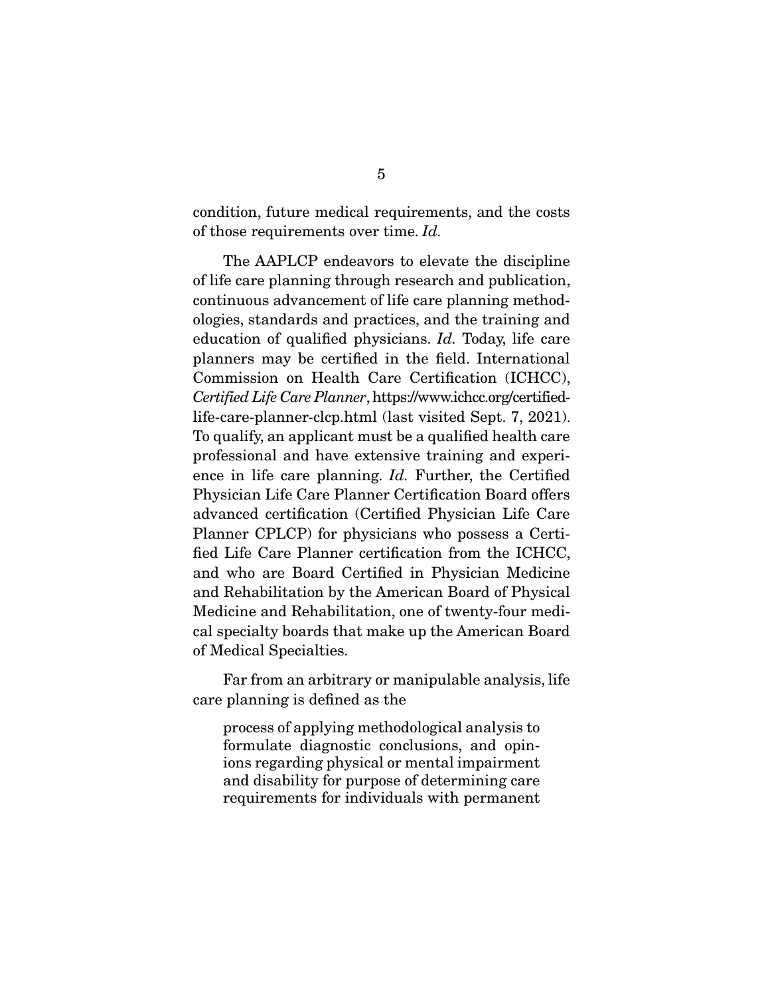condition, future medical requirements, and the costs of those requirements over time. Id.

 The AAPLCP endeavors to elevate the discipline of life care planning through research and publication, continuous advancement of life care planning methodologies, standards and practices, and the training and education of qualified physicians. Id. Today, life care planners may be certified in the field. International Commission on Health Care Certification (ICHCC), Certified Life Care Planner, https://www.ichcc.org/certifiedlife-care-planner-clcp.html (last visited Sept. 7, 2021). To qualify, an applicant must be a qualified health care professional and have extensive training and experience in life care planning. Id. Further, the Certified Physician Life Care Planner Certification Board offers advanced certification (Certified Physician Life Care Planner CPLCP) for physicians who possess a Certified Life Care Planner certification from the ICHCC, and who are Board Certified in Physician Medicine and Rehabilitation by the American Board of Physical Medicine and Rehabilitation, one of twenty-four medical specialty boards that make up the American Board of Medical Specialties.

 Far from an arbitrary or manipulable analysis, life care planning is defined as the

process of applying methodological analysis to formulate diagnostic conclusions, and opinions regarding physical or mental impairment and disability for purpose of determining care requirements for individuals with permanent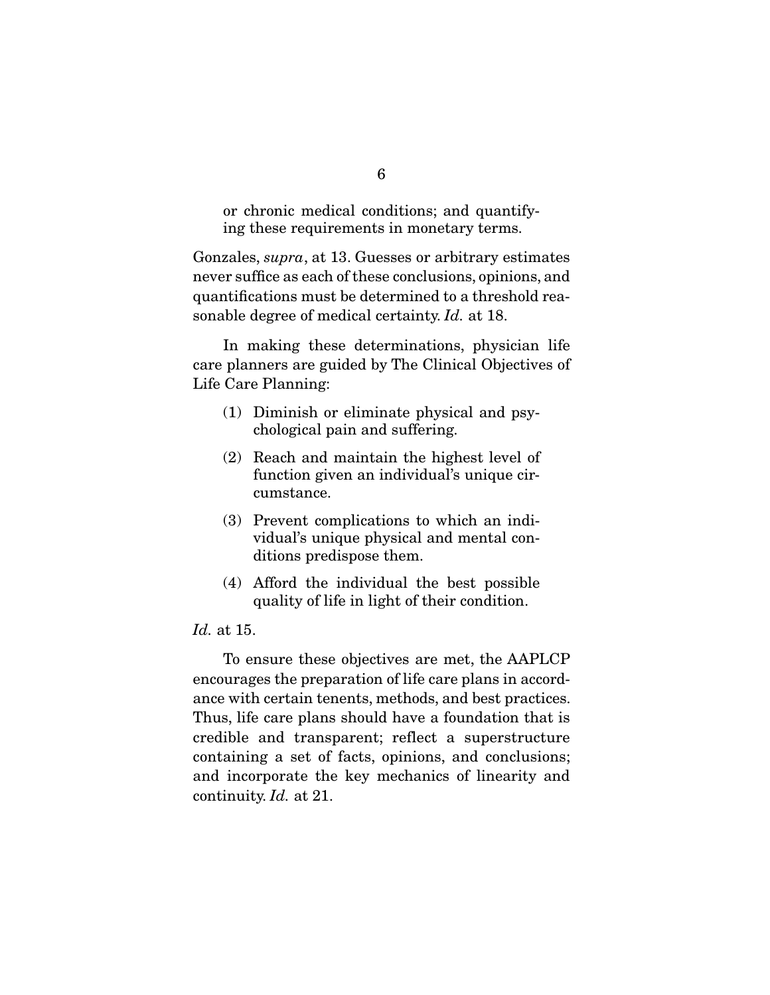or chronic medical conditions; and quantifying these requirements in monetary terms.

Gonzales, supra, at 13. Guesses or arbitrary estimates never suffice as each of these conclusions, opinions, and quantifications must be determined to a threshold reasonable degree of medical certainty. Id. at 18.

 In making these determinations, physician life care planners are guided by The Clinical Objectives of Life Care Planning:

- (1) Diminish or eliminate physical and psychological pain and suffering.
- (2) Reach and maintain the highest level of function given an individual's unique circumstance.
- (3) Prevent complications to which an individual's unique physical and mental conditions predispose them.
- (4) Afford the individual the best possible quality of life in light of their condition.

#### Id. at 15.

 To ensure these objectives are met, the AAPLCP encourages the preparation of life care plans in accordance with certain tenents, methods, and best practices. Thus, life care plans should have a foundation that is credible and transparent; reflect a superstructure containing a set of facts, opinions, and conclusions; and incorporate the key mechanics of linearity and continuity. Id. at 21.

6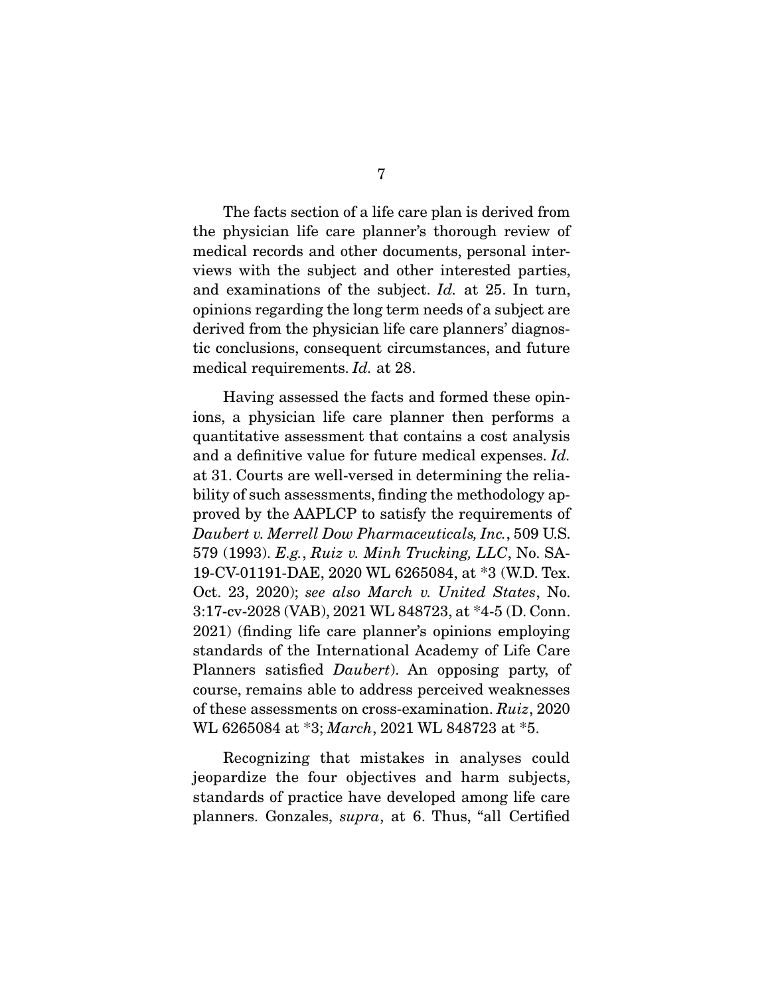The facts section of a life care plan is derived from the physician life care planner's thorough review of medical records and other documents, personal interviews with the subject and other interested parties, and examinations of the subject. Id. at 25. In turn, opinions regarding the long term needs of a subject are derived from the physician life care planners' diagnostic conclusions, consequent circumstances, and future medical requirements. Id. at 28.

 Having assessed the facts and formed these opinions, a physician life care planner then performs a quantitative assessment that contains a cost analysis and a definitive value for future medical expenses. Id. at 31. Courts are well-versed in determining the reliability of such assessments, finding the methodology approved by the AAPLCP to satisfy the requirements of Daubert v. Merrell Dow Pharmaceuticals, Inc., 509 U.S. 579 (1993). E.g., Ruiz v. Minh Trucking, LLC, No. SA-19-CV-01191-DAE, 2020 WL 6265084, at \*3 (W.D. Tex. Oct. 23, 2020); see also March v. United States, No. 3:17-cv-2028 (VAB), 2021 WL 848723, at \*4-5 (D. Conn. 2021) (finding life care planner's opinions employing standards of the International Academy of Life Care Planners satisfied Daubert). An opposing party, of course, remains able to address perceived weaknesses of these assessments on cross-examination. Ruiz, 2020 WL 6265084 at \*3; March, 2021 WL 848723 at \*5.

 Recognizing that mistakes in analyses could jeopardize the four objectives and harm subjects, standards of practice have developed among life care planners. Gonzales, supra, at 6. Thus, "all Certified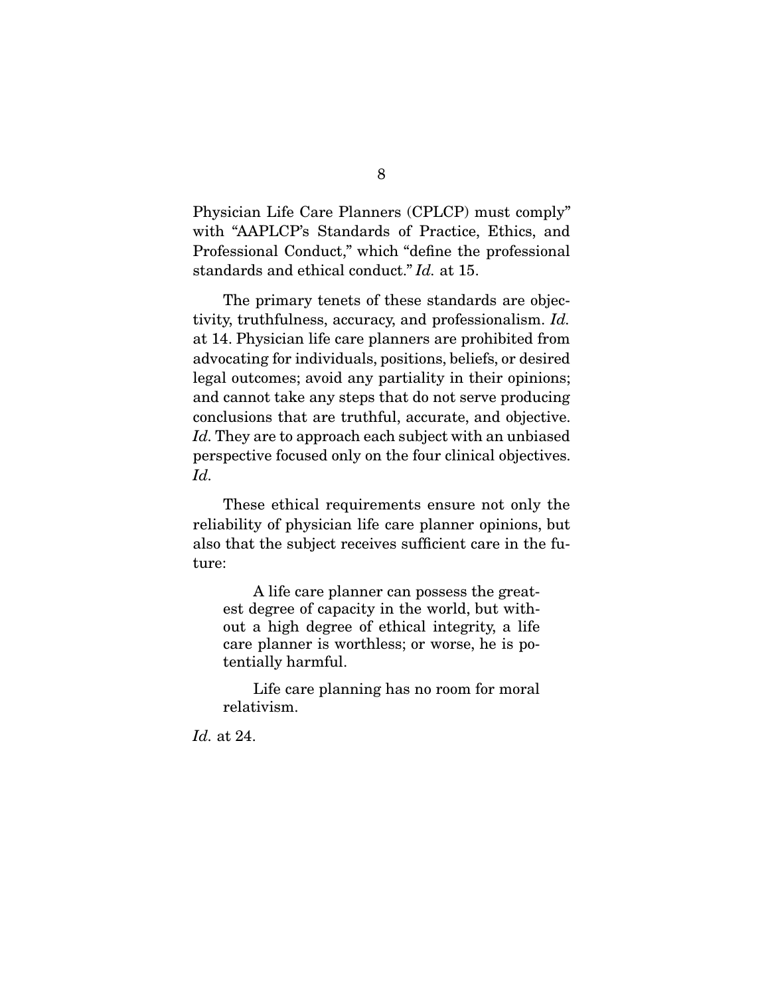Physician Life Care Planners (CPLCP) must comply" with "AAPLCP's Standards of Practice, Ethics, and Professional Conduct," which "define the professional standards and ethical conduct." Id. at 15.

 The primary tenets of these standards are objectivity, truthfulness, accuracy, and professionalism. Id. at 14. Physician life care planners are prohibited from advocating for individuals, positions, beliefs, or desired legal outcomes; avoid any partiality in their opinions; and cannot take any steps that do not serve producing conclusions that are truthful, accurate, and objective. Id. They are to approach each subject with an unbiased perspective focused only on the four clinical objectives. Id.

 These ethical requirements ensure not only the reliability of physician life care planner opinions, but also that the subject receives sufficient care in the future:

 A life care planner can possess the greatest degree of capacity in the world, but without a high degree of ethical integrity, a life care planner is worthless; or worse, he is potentially harmful.

 Life care planning has no room for moral relativism.

Id. at 24.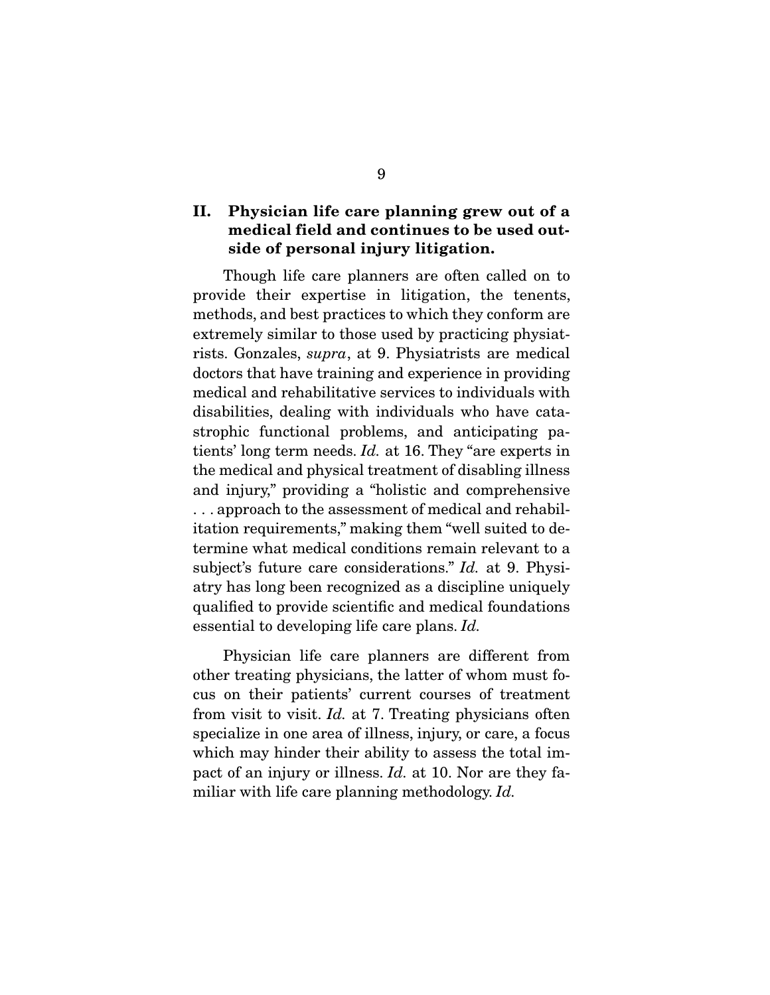### **II. Physician life care planning grew out of a medical field and continues to be used outside of personal injury litigation.**

 Though life care planners are often called on to provide their expertise in litigation, the tenents, methods, and best practices to which they conform are extremely similar to those used by practicing physiatrists. Gonzales, supra, at 9. Physiatrists are medical doctors that have training and experience in providing medical and rehabilitative services to individuals with disabilities, dealing with individuals who have catastrophic functional problems, and anticipating patients' long term needs. Id. at 16. They "are experts in the medical and physical treatment of disabling illness and injury," providing a "holistic and comprehensive . . . approach to the assessment of medical and rehabilitation requirements," making them "well suited to determine what medical conditions remain relevant to a subject's future care considerations." Id. at 9. Physiatry has long been recognized as a discipline uniquely qualified to provide scientific and medical foundations essential to developing life care plans. Id.

 Physician life care planners are different from other treating physicians, the latter of whom must focus on their patients' current courses of treatment from visit to visit. Id. at 7. Treating physicians often specialize in one area of illness, injury, or care, a focus which may hinder their ability to assess the total impact of an injury or illness. Id. at 10. Nor are they familiar with life care planning methodology. Id.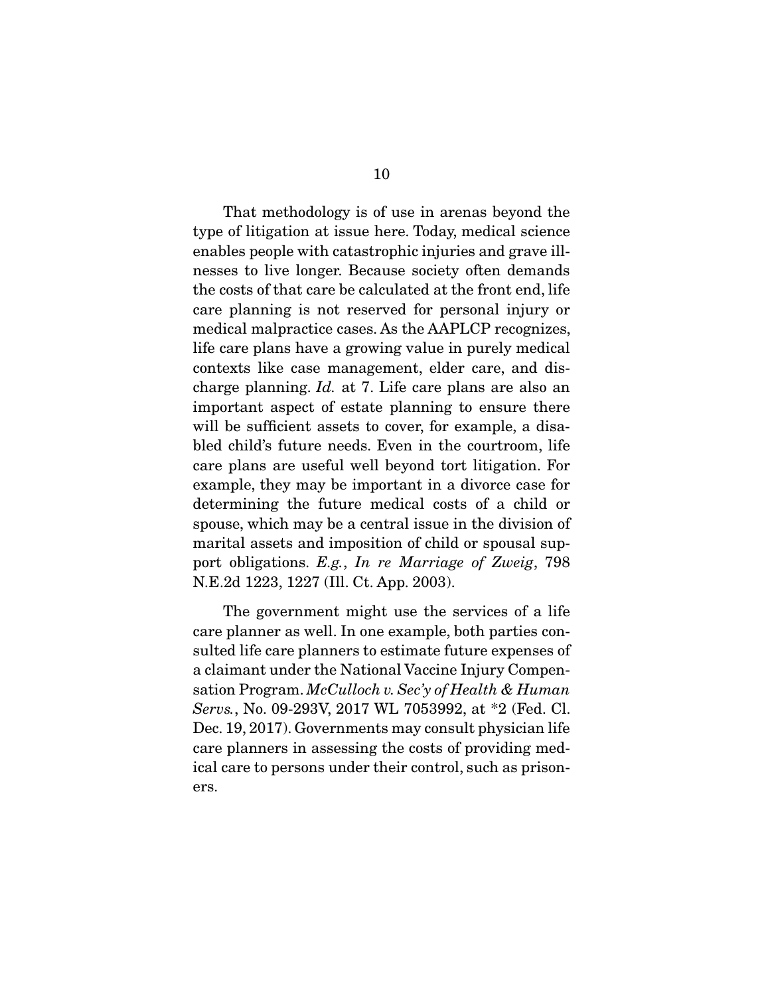That methodology is of use in arenas beyond the type of litigation at issue here. Today, medical science enables people with catastrophic injuries and grave illnesses to live longer. Because society often demands the costs of that care be calculated at the front end, life care planning is not reserved for personal injury or medical malpractice cases. As the AAPLCP recognizes, life care plans have a growing value in purely medical contexts like case management, elder care, and discharge planning. Id. at 7. Life care plans are also an important aspect of estate planning to ensure there will be sufficient assets to cover, for example, a disabled child's future needs. Even in the courtroom, life care plans are useful well beyond tort litigation. For example, they may be important in a divorce case for determining the future medical costs of a child or spouse, which may be a central issue in the division of marital assets and imposition of child or spousal support obligations. E.g., In re Marriage of Zweig, 798 N.E.2d 1223, 1227 (Ill. Ct. App. 2003).

 The government might use the services of a life care planner as well. In one example, both parties consulted life care planners to estimate future expenses of a claimant under the National Vaccine Injury Compensation Program. McCulloch v. Sec'y of Health & Human Servs., No. 09-293V, 2017 WL 7053992, at \*2 (Fed. Cl. Dec. 19, 2017). Governments may consult physician life care planners in assessing the costs of providing medical care to persons under their control, such as prisoners.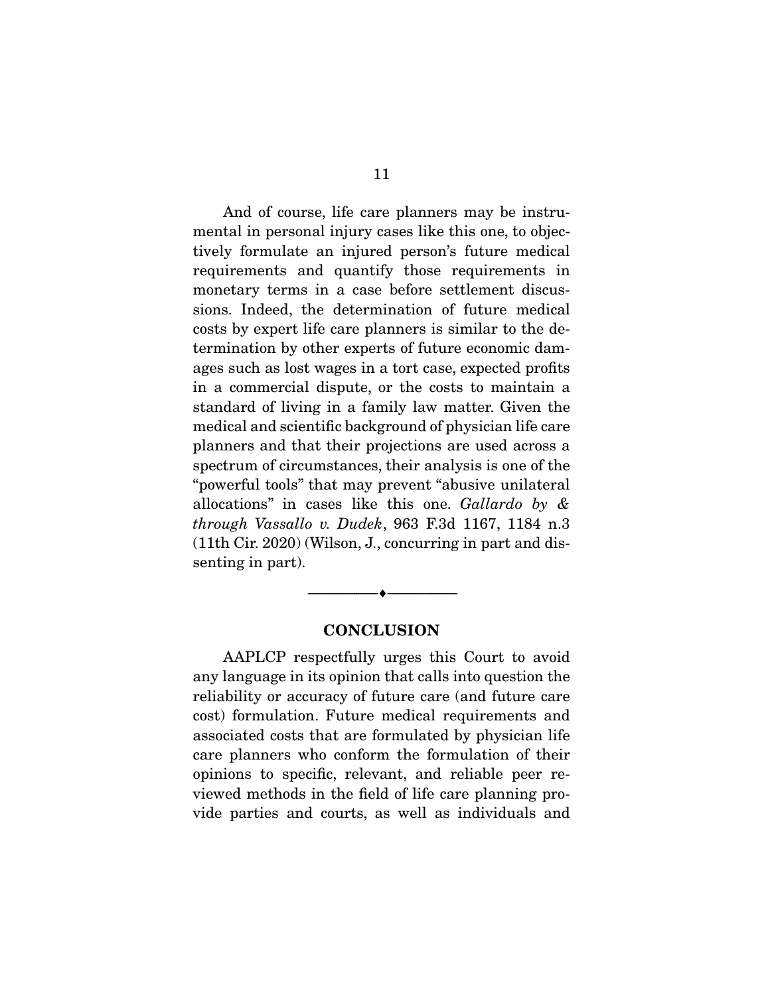And of course, life care planners may be instrumental in personal injury cases like this one, to objectively formulate an injured person's future medical requirements and quantify those requirements in monetary terms in a case before settlement discussions. Indeed, the determination of future medical costs by expert life care planners is similar to the determination by other experts of future economic damages such as lost wages in a tort case, expected profits in a commercial dispute, or the costs to maintain a standard of living in a family law matter. Given the medical and scientific background of physician life care planners and that their projections are used across a spectrum of circumstances, their analysis is one of the "powerful tools" that may prevent "abusive unilateral allocations" in cases like this one. Gallardo by & through Vassallo v. Dudek, 963 F.3d 1167, 1184 n.3 (11th Cir. 2020) (Wilson, J., concurring in part and dissenting in part).

#### **CONCLUSION**

--------------------------------- ♦ ---------------------------------

 AAPLCP respectfully urges this Court to avoid any language in its opinion that calls into question the reliability or accuracy of future care (and future care cost) formulation. Future medical requirements and associated costs that are formulated by physician life care planners who conform the formulation of their opinions to specific, relevant, and reliable peer reviewed methods in the field of life care planning provide parties and courts, as well as individuals and